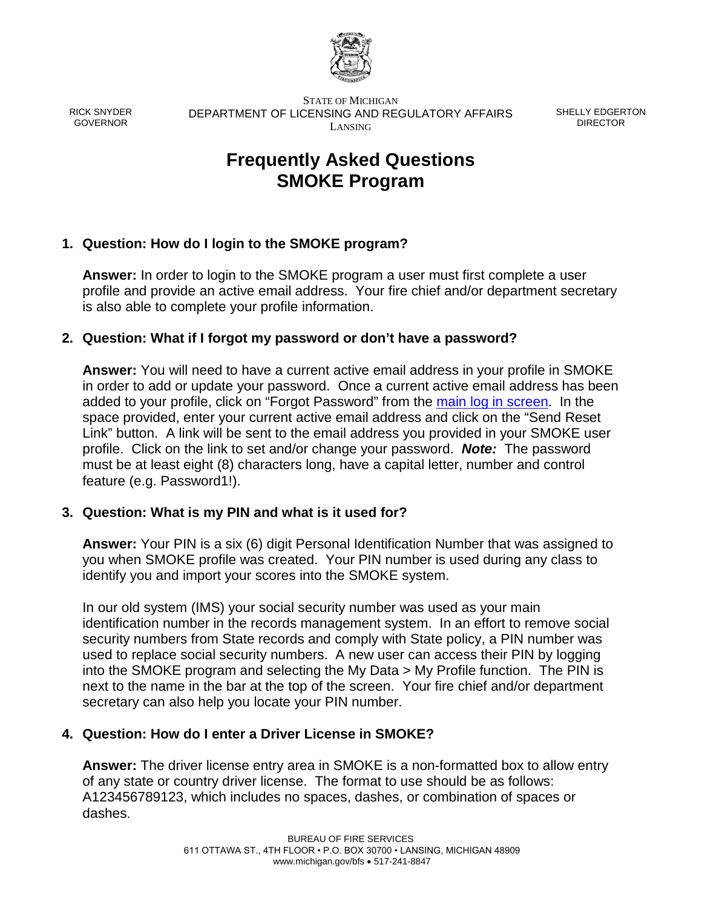

RICK SNYDER GOVERNOR

STATE OF MICHIGAN DEPARTMENT OF LICENSING AND REGULATORY AFFAIRS LANSING

SHELLY EDGERTON DIRECTOR

# **Frequently Asked Questions SMOKE Program**

# **1. Question: How do I login to the SMOKE program?**

**Answer:** In order to login to the SMOKE program a user must first complete a user profile and provide an active email address. Your fire chief and/or department secretary is also able to complete your profile information.

## **2. Question: What if I forgot my password or don't have a password?**

**Answer:** You will need to have a current active email address in your profile in SMOKE in order to add or update your password. Once a current active email address has been added to your profile, click on "Forgot Password" from the [main log in screen.](https://w2.lara.state.mi.us/Smoke/Account/Login) In the space provided, enter your current active email address and click on the "Send Reset Link" button. A link will be sent to the email address you provided in your SMOKE user profile. Click on the link to set and/or change your password. *Note:* The password must be at least eight (8) characters long, have a capital letter, number and control feature (e.g. Password1!).

#### **3. Question: What is my PIN and what is it used for?**

**Answer:** Your PIN is a six (6) digit Personal Identification Number that was assigned to you when SMOKE profile was created. Your PIN number is used during any class to identify you and import your scores into the SMOKE system.

In our old system (IMS) your social security number was used as your main identification number in the records management system. In an effort to remove social security numbers from State records and comply with State policy, a PIN number was used to replace social security numbers. A new user can access their PIN by logging into the SMOKE program and selecting the My Data > My Profile function. The PIN is next to the name in the bar at the top of the screen. Your fire chief and/or department secretary can also help you locate your PIN number.

# **4. Question: How do I enter a Driver License in SMOKE?**

**Answer:** The driver license entry area in SMOKE is a non-formatted box to allow entry of any state or country driver license. The format to use should be as follows: A123456789123, which includes no spaces, dashes, or combination of spaces or dashes.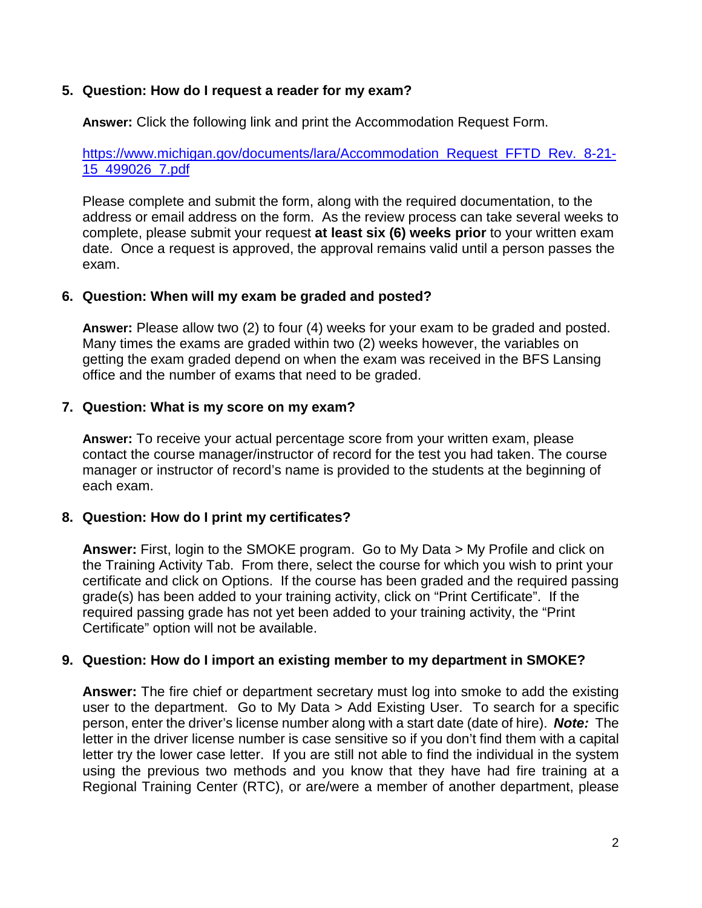#### **5. Question: How do I request a reader for my exam?**

**Answer:** Click the following link and print the Accommodation Request Form.

[https://www.michigan.gov/documents/lara/Accommodation\\_Request\\_FFTD\\_Rev.\\_8-21-](https://www.michigan.gov/documents/lara/Accommodation_Request_FFTD_Rev._8-21-15_499026_7.pdf) [15\\_499026\\_7.pdf](https://www.michigan.gov/documents/lara/Accommodation_Request_FFTD_Rev._8-21-15_499026_7.pdf) 

Please complete and submit the form, along with the required documentation, to the address or email address on the form. As the review process can take several weeks to complete, please submit your request **at least six (6) weeks prior** to your written exam date. Once a request is approved, the approval remains valid until a person passes the exam.

#### **6. Question: When will my exam be graded and posted?**

**Answer:** Please allow two (2) to four (4) weeks for your exam to be graded and posted. Many times the exams are graded within two (2) weeks however, the variables on getting the exam graded depend on when the exam was received in the BFS Lansing office and the number of exams that need to be graded.

#### **7. Question: What is my score on my exam?**

**Answer:** To receive your actual percentage score from your written exam, please contact the course manager/instructor of record for the test you had taken. The course manager or instructor of record's name is provided to the students at the beginning of each exam.

#### **8. Question: How do I print my certificates?**

**Answer:** First, login to the SMOKE program. Go to My Data > My Profile and click on the Training Activity Tab. From there, select the course for which you wish to print your certificate and click on Options. If the course has been graded and the required passing grade(s) has been added to your training activity, click on "Print Certificate". If the required passing grade has not yet been added to your training activity, the "Print Certificate" option will not be available.

#### **9. Question: How do I import an existing member to my department in SMOKE?**

**Answer:** The fire chief or department secretary must log into smoke to add the existing user to the department. Go to My Data > Add Existing User. To search for a specific person, enter the driver's license number along with a start date (date of hire). *Note:* The letter in the driver license number is case sensitive so if you don't find them with a capital letter try the lower case letter. If you are still not able to find the individual in the system using the previous two methods and you know that they have had fire training at a Regional Training Center (RTC), or are/were a member of another department, please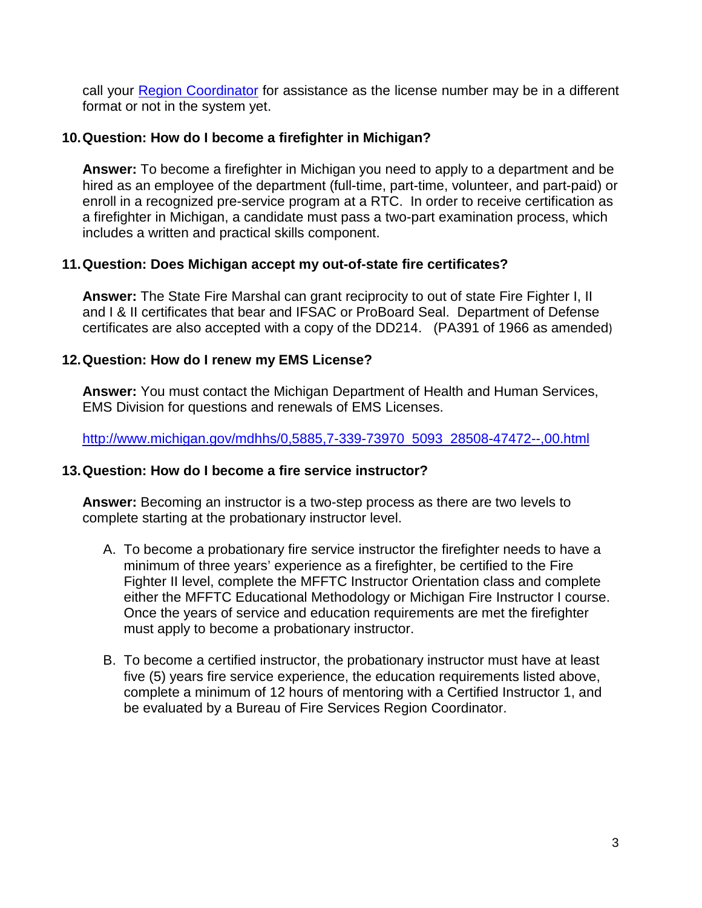call your [Region Coordinator](http://www.michigan.gov/lara/0,4601,7-154-42271_42325-362191--,00.html) for assistance as the license number may be in a different format or not in the system yet.

#### **10.Question: How do I become a firefighter in Michigan?**

**Answer:** To become a firefighter in Michigan you need to apply to a department and be hired as an employee of the department (full-time, part-time, volunteer, and part-paid) or enroll in a recognized pre-service program at a RTC. In order to receive certification as a firefighter in Michigan, a candidate must pass a two-part examination process, which includes a written and practical skills component.

#### **11.Question: Does Michigan accept my out-of-state fire certificates?**

**Answer:** The State Fire Marshal can grant reciprocity to out of state Fire Fighter I, II and I & II certificates that bear and IFSAC or ProBoard Seal. Department of Defense certificates are also accepted with a copy of the DD214. (PA391 of 1966 as amended)

## **12.Question: How do I renew my EMS License?**

**Answer:** You must contact the Michigan Department of Health and Human Services, EMS Division for questions and renewals of EMS Licenses.

[http://www.michigan.gov/mdhhs/0,5885,7-339-73970\\_5093\\_28508-47472--,00.html](http://www.michigan.gov/mdhhs/0,5885,7-339-73970_5093_28508-47472--,00.html)

#### **13.Question: How do I become a fire service instructor?**

**Answer:** Becoming an instructor is a two-step process as there are two levels to complete starting at the probationary instructor level.

- A. To become a probationary fire service instructor the firefighter needs to have a minimum of three years' experience as a firefighter, be certified to the Fire Fighter II level, complete the MFFTC Instructor Orientation class and complete either the MFFTC Educational Methodology or Michigan Fire Instructor I course. Once the years of service and education requirements are met the firefighter must apply to become a probationary instructor.
- B. To become a certified instructor, the probationary instructor must have at least five (5) years fire service experience, the education requirements listed above, complete a minimum of 12 hours of mentoring with a Certified Instructor 1, and be evaluated by a Bureau of Fire Services Region Coordinator.